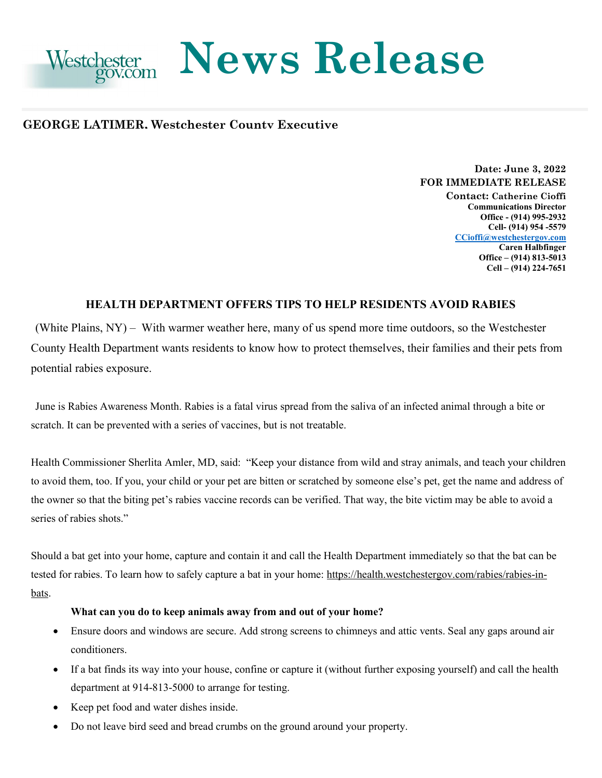

# **News Release**

# **GEORGE LATIMER, Westchester County Executive**

# **Date: June 3, 2022 FOR IMMEDIATE RELEASE**

**Contact: Catherine Cioffi Communications Director Office - (914) 995-2932 Cell- (914) 954 -5579 [CCioffi@westchestergov.com](mailto:CCioffi@westchestergov.com)  Caren Halbfinger Office – (914) 813-5013 Cell – (914) 224-7651** 

# **HEALTH DEPARTMENT OFFERS TIPS TO HELP RESIDENTS AVOID RABIES**

potential rabies exposure. (White Plains, NY) – With warmer weather here, many of us spend more time outdoors, so the Westchester County Health Department wants residents to know how to protect themselves, their families and their pets from

June is Rabies Awareness Month. Rabies is a fatal virus spread from the saliva of an infected animal through a bite or scratch. It can be prevented with a series of vaccines, but is not treatable.

 the owner so that the biting pet's rabies vaccine records can be verified. That way, the bite victim may be able to avoid a Health Commissioner Sherlita Amler, MD, said: "Keep your distance from wild and stray animals, and teach your children to avoid them, too. If you, your child or your pet are bitten or scratched by someone else's pet, get the name and address of series of rabies shots."

Should a bat get into your home, capture and contain it and call the Health Department immediately so that the bat can be tested for rabies. To learn how to safely capture a bat in your home: [https://health.westchestergov.com/rabies/rabies-in](https://health.westchestergov.com/rabies/rabies-in-bats)[bats.](https://health.westchestergov.com/rabies/rabies-in-bats)

## **What can you do to keep animals away from and out of your home?**

- Ensure doors and windows are secure. Add strong screens to chimneys and attic vents. Seal any gaps around air conditioners.
- • If a bat finds its way into your house, confine or capture it (without further exposing yourself) and call the health department at 914-813-5000 to arrange for testing.
- Keep pet food and water dishes inside.
- Do not leave bird seed and bread crumbs on the ground around your property.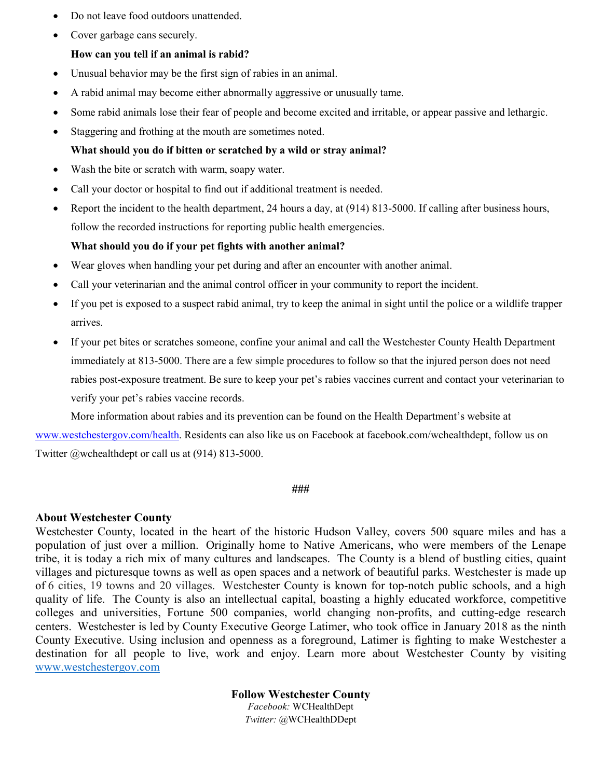- Do not leave food outdoors unattended.
- Cover garbage cans securely.

## **How can you tell if an animal is rabid?**

- Unusual behavior may be the first sign of rabies in an animal.
- A rabid animal may become either abnormally aggressive or unusually tame.
- Some rabid animals lose their fear of people and become excited and irritable, or appear passive and lethargic.
- Staggering and frothing at the mouth are sometimes noted.

### **What should you do if bitten or scratched by a wild or stray animal?**

- Wash the bite or scratch with warm, soapy water.
- Call your doctor or hospital to find out if additional treatment is needed.
- • Report the incident to the health department, 24 hours a day, at (914) 813-5000. If calling after business hours, follow the recorded instructions for reporting public health emergencies.

### **What should you do if your pet fights with another animal?**

- Wear gloves when handling your pet during and after an encounter with another animal.
- Call your veterinarian and the animal control officer in your community to report the incident.
- • If you pet is exposed to a suspect rabid animal, try to keep the animal in sight until the police or a wildlife trapper arrives.
- immediately at 813-5000. There are a few simple procedures to follow so that the injured person does not need rabies post-exposure treatment. Be sure to keep your pet's rabies vaccines current and contact your veterinarian to • If your pet bites or scratches someone, confine your animal and call the Westchester County Health Department verify your pet's rabies vaccine records.

More information about rabies and its prevention can be found on the Health Department's website at

[www.westchestergov.com/health.](http://www.westchestergov.com/health) Residents can also like us on Facebook at [facebook.com/wchealthdept](https://facebook.com/wchealthdept), follow us on Twitter @wchealthdept or call us at (914) 813-5000.

#### **###**

### **About Westchester County**

 Westchester County, located in the heart of the historic Hudson Valley, covers 500 square miles and has a population of just over a million. Originally home to Native Americans, who were members of the Lenape tribe, it is today a rich mix of many cultures and landscapes. The County is a blend of bustling cities, quaint of 6 cities, 19 towns and 20 villages. Westchester County is known for top-notch public schools, and a high quality of life. The County is also an intellectual capital, boasting a highly educated workforce, competitive centers. Westchester is led by County Executive George Latimer, who took office in January 2018 as the ninth villages and picturesque towns as well as open spaces and a network of beautiful parks. Westchester is made up colleges and universities, Fortune 500 companies, world changing non-profits, and cutting-edge research County Executive. Using inclusion and openness as a foreground, Latimer is fighting to make Westchester a destination for all people to live, work and enjoy. Learn more about Westchester County by visiting [www.westchestergov.com](http://www.westchestergov.com/) 

> **Follow Westchester County**  *Facebook:* WCHealthDept *Twitter:* @WCHealthDDept